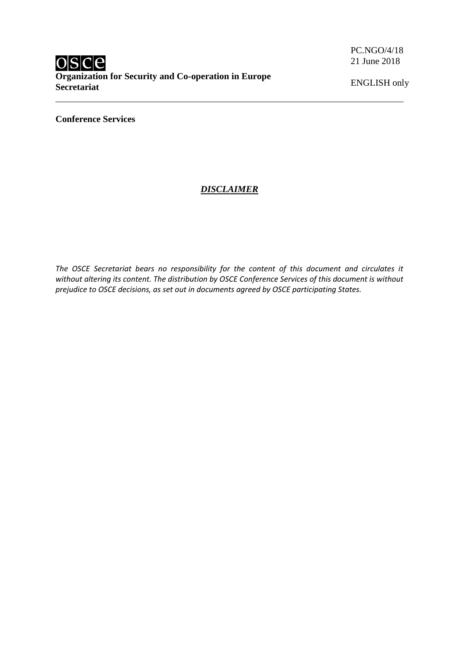PC.NGO/4/18 21 June 2018

ENGLISH only

**Conference Services**

## *DISCLAIMER*

*The OSCE Secretariat bears no responsibility for the content of this document and circulates it without altering its content. The distribution by OSCE Conference Services of this document is without prejudice to OSCE decisions, as set out in documents agreed by OSCE participating States.*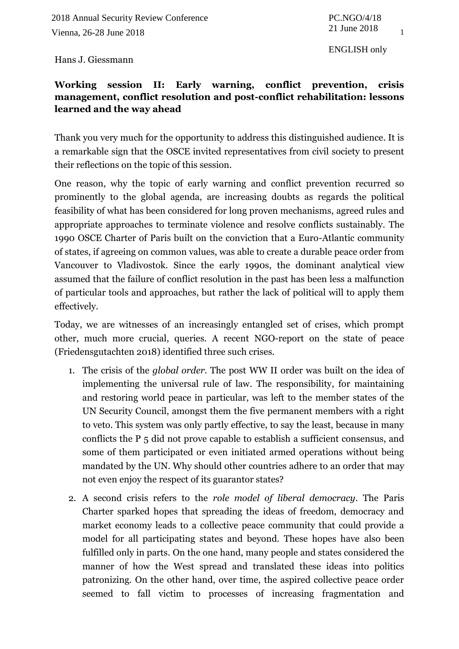1

ENGLISH only

Hans J. Giessmann

## **Working session II: Early warning, conflict prevention, crisis management, conflict resolution and post-conflict rehabilitation: lessons learned and the way ahead**

Thank you very much for the opportunity to address this distinguished audience. It is a remarkable sign that the OSCE invited representatives from civil society to present their reflections on the topic of this session.

One reason, why the topic of early warning and conflict prevention recurred so prominently to the global agenda, are increasing doubts as regards the political feasibility of what has been considered for long proven mechanisms, agreed rules and appropriate approaches to terminate violence and resolve conflicts sustainably. The 1990 OSCE Charter of Paris built on the conviction that a Euro-Atlantic community of states, if agreeing on common values, was able to create a durable peace order from Vancouver to Vladivostok. Since the early 1990s, the dominant analytical view assumed that the failure of conflict resolution in the past has been less a malfunction of particular tools and approaches, but rather the lack of political will to apply them effectively.

Today, we are witnesses of an increasingly entangled set of crises, which prompt other, much more crucial, queries. A recent NGO-report on the state of peace (Friedensgutachten 2018) identified three such crises.

- 1. The crisis of the *global order*. The post WW II order was built on the idea of implementing the universal rule of law. The responsibility, for maintaining and restoring world peace in particular, was left to the member states of the UN Security Council, amongst them the five permanent members with a right to veto. This system was only partly effective, to say the least, because in many conflicts the P 5 did not prove capable to establish a sufficient consensus, and some of them participated or even initiated armed operations without being mandated by the UN. Why should other countries adhere to an order that may not even enjoy the respect of its guarantor states?
- 2. A second crisis refers to the *role model of liberal democracy*. The Paris Charter sparked hopes that spreading the ideas of freedom, democracy and market economy leads to a collective peace community that could provide a model for all participating states and beyond. These hopes have also been fulfilled only in parts. On the one hand, many people and states considered the manner of how the West spread and translated these ideas into politics patronizing. On the other hand, over time, the aspired collective peace order seemed to fall victim to processes of increasing fragmentation and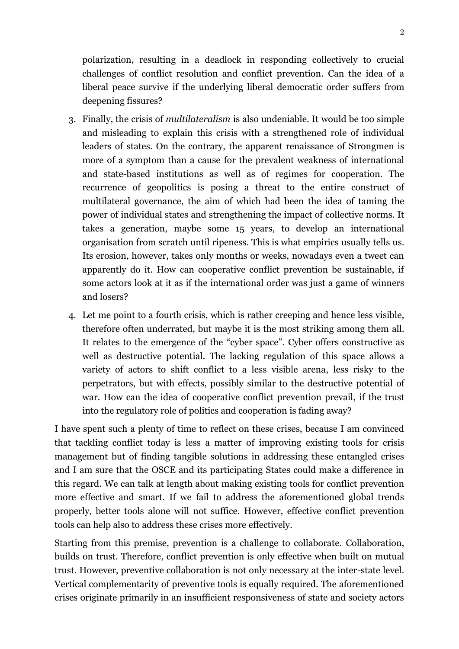polarization, resulting in a deadlock in responding collectively to crucial challenges of conflict resolution and conflict prevention. Can the idea of a liberal peace survive if the underlying liberal democratic order suffers from deepening fissures?

- 3. Finally, the crisis of *multilateralism* is also undeniable. It would be too simple and misleading to explain this crisis with a strengthened role of individual leaders of states. On the contrary, the apparent renaissance of Strongmen is more of a symptom than a cause for the prevalent weakness of international and state-based institutions as well as of regimes for cooperation. The recurrence of geopolitics is posing a threat to the entire construct of multilateral governance, the aim of which had been the idea of taming the power of individual states and strengthening the impact of collective norms. It takes a generation, maybe some 15 years, to develop an international organisation from scratch until ripeness. This is what empirics usually tells us. Its erosion, however, takes only months or weeks, nowadays even a tweet can apparently do it. How can cooperative conflict prevention be sustainable, if some actors look at it as if the international order was just a game of winners and losers?
- 4. Let me point to a fourth crisis, which is rather creeping and hence less visible, therefore often underrated, but maybe it is the most striking among them all. It relates to the emergence of the "cyber space". Cyber offers constructive as well as destructive potential. The lacking regulation of this space allows a variety of actors to shift conflict to a less visible arena, less risky to the perpetrators, but with effects, possibly similar to the destructive potential of war. How can the idea of cooperative conflict prevention prevail, if the trust into the regulatory role of politics and cooperation is fading away?

I have spent such a plenty of time to reflect on these crises, because I am convinced that tackling conflict today is less a matter of improving existing tools for crisis management but of finding tangible solutions in addressing these entangled crises and I am sure that the OSCE and its participating States could make a difference in this regard. We can talk at length about making existing tools for conflict prevention more effective and smart. If we fail to address the aforementioned global trends properly, better tools alone will not suffice. However, effective conflict prevention tools can help also to address these crises more effectively.

Starting from this premise, prevention is a challenge to collaborate. Collaboration, builds on trust. Therefore, conflict prevention is only effective when built on mutual trust. However, preventive collaboration is not only necessary at the inter-state level. Vertical complementarity of preventive tools is equally required. The aforementioned crises originate primarily in an insufficient responsiveness of state and society actors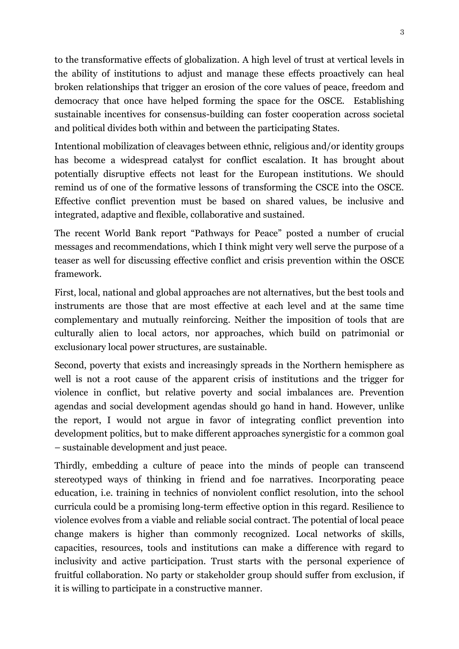to the transformative effects of globalization. A high level of trust at vertical levels in the ability of institutions to adjust and manage these effects proactively can heal broken relationships that trigger an erosion of the core values of peace, freedom and democracy that once have helped forming the space for the OSCE. Establishing sustainable incentives for consensus-building can foster cooperation across societal and political divides both within and between the participating States.

Intentional mobilization of cleavages between ethnic, religious and/or identity groups has become a widespread catalyst for conflict escalation. It has brought about potentially disruptive effects not least for the European institutions. We should remind us of one of the formative lessons of transforming the CSCE into the OSCE. Effective conflict prevention must be based on shared values, be inclusive and integrated, adaptive and flexible, collaborative and sustained.

The recent World Bank report "Pathways for Peace" posted a number of crucial messages and recommendations, which I think might very well serve the purpose of a teaser as well for discussing effective conflict and crisis prevention within the OSCE framework.

First, local, national and global approaches are not alternatives, but the best tools and instruments are those that are most effective at each level and at the same time complementary and mutually reinforcing. Neither the imposition of tools that are culturally alien to local actors, nor approaches, which build on patrimonial or exclusionary local power structures, are sustainable.

Second, poverty that exists and increasingly spreads in the Northern hemisphere as well is not a root cause of the apparent crisis of institutions and the trigger for violence in conflict, but relative poverty and social imbalances are. Prevention agendas and social development agendas should go hand in hand. However, unlike the report, I would not argue in favor of integrating conflict prevention into development politics, but to make different approaches synergistic for a common goal – sustainable development and just peace.

Thirdly, embedding a culture of peace into the minds of people can transcend stereotyped ways of thinking in friend and foe narratives. Incorporating peace education, i.e. training in technics of nonviolent conflict resolution, into the school curricula could be a promising long-term effective option in this regard. Resilience to violence evolves from a viable and reliable social contract. The potential of local peace change makers is higher than commonly recognized. Local networks of skills, capacities, resources, tools and institutions can make a difference with regard to inclusivity and active participation. Trust starts with the personal experience of fruitful collaboration. No party or stakeholder group should suffer from exclusion, if it is willing to participate in a constructive manner.